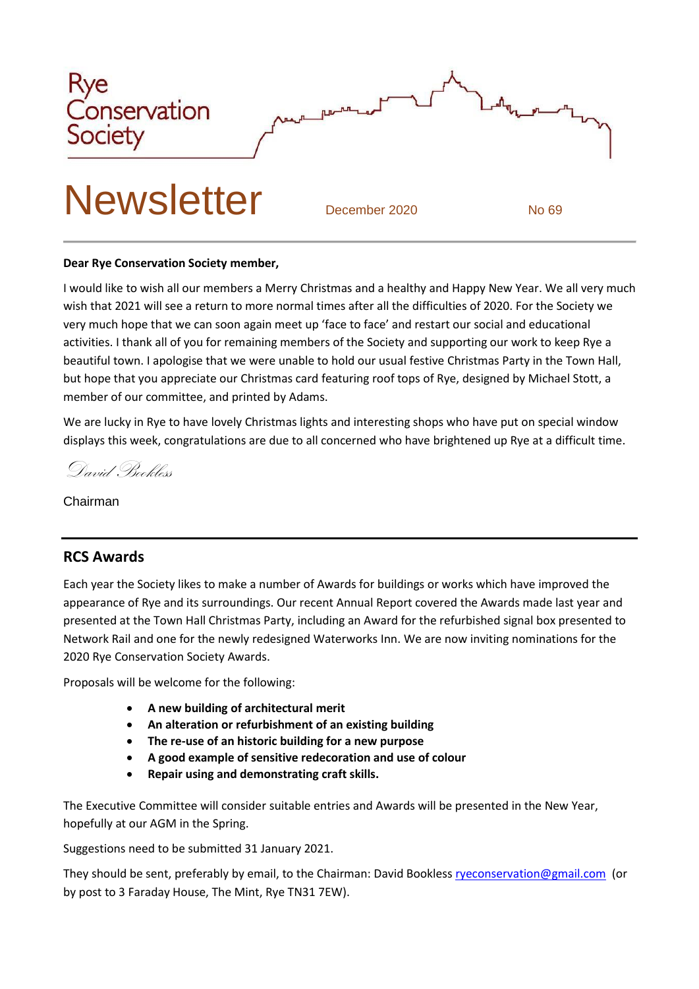

#### **Dear Rye Conservation Society member,**

I would like to wish all our members a Merry Christmas and a healthy and Happy New Year. We all very much wish that 2021 will see a return to more normal times after all the difficulties of 2020. For the Society we very much hope that we can soon again meet up 'face to face' and restart our social and educational activities. I thank all of you for remaining members of the Society and supporting our work to keep Rye a beautiful town. I apologise that we were unable to hold our usual festive Christmas Party in the Town Hall, but hope that you appreciate our Christmas card featuring roof tops of Rye, designed by Michael Stott, a member of our committee, and printed by Adams.

We are lucky in Rye to have lovely Christmas lights and interesting shops who have put on special window displays this week, congratulations are due to all concerned who have brightened up Rye at a difficult time.

David Bookless

Chairman

#### **RCS Awards**

Each year the Society likes to make a number of Awards for buildings or works which have improved the appearance of Rye and its surroundings. Our recent Annual Report covered the Awards made last year and presented at the Town Hall Christmas Party, including an Award for the refurbished signal box presented to Network Rail and one for the newly redesigned Waterworks Inn. We are now inviting nominations for the 2020 Rye Conservation Society Awards.

Proposals will be welcome for the following:

- **A new building of architectural merit**
- **An alteration or refurbishment of an existing building**
- **The re-use of an historic building for a new purpose**
- **A good example of sensitive redecoration and use of colour**
- **Repair using and demonstrating craft skills.**

The Executive Committee will consider suitable entries and Awards will be presented in the New Year, hopefully at our AGM in the Spring.

Suggestions need to be submitted 31 January 2021.

They should be sent, preferably by email, to the Chairman: David Bookless [ryeconservation@gmail.com](mailto:ryeconservation@gmail.com) (or by post to 3 Faraday House, The Mint, Rye TN31 7EW).